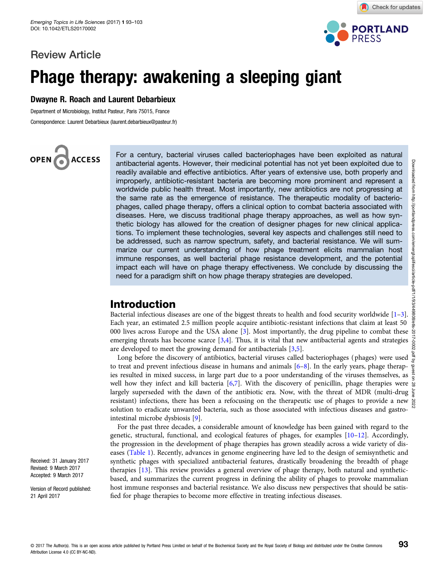## Review Article



Check for updates

# Phage therapy: awakening a sleeping giant

### Dwayne R. Roach and Laurent Debarbieux

Department of Microbiology, Institut Pasteur, Paris 75015, France Correspondence: Laurent Debarbieux (laurent.debarbieux@pasteur.fr)

OPEN **ACCESS** 

For a century, bacterial viruses called bacteriophages have been exploited as natural antibacterial agents. However, their medicinal potential has not yet been exploited due to readily available and effective antibiotics. After years of extensive use, both properly and improperly, antibiotic-resistant bacteria are becoming more prominent and represent a worldwide public health threat. Most importantly, new antibiotics are not progressing at the same rate as the emergence of resistance. The therapeutic modality of bacteriophages, called phage therapy, offers a clinical option to combat bacteria associated with diseases. Here, we discuss traditional phage therapy approaches, as well as how synthetic biology has allowed for the creation of designer phages for new clinical applications. To implement these technologies, several key aspects and challenges still need to be addressed, such as narrow spectrum, safety, and bacterial resistance. We will summarize our current understanding of how phage treatment elicits mammalian host immune responses, as well bacterial phage resistance development, and the potential impact each will have on phage therapy effectiveness. We conclude by discussing the need for a paradigm shift on how phage therapy strategies are developed.

## Introduction

Bacterial infectious diseases are one of the biggest threats to health and food security worldwide [[1](#page-7-0)–[3](#page-7-0)]. Each year, an estimated 2.5 million people acquire antibiotic-resistant infections that claim at least 50 000 lives across Europe and the USA alone [\[3](#page-7-0)]. Most importantly, the drug pipeline to combat these  $\frac{1}{2}$ emerging threats has become scarce  $[3,4]$ . Thus, it is vital that new antibacterial agents and strategies are developed to meet the growing demand for antibacterials [\[3,5](#page-7-0)].

Long before the discovery of antibiotics, bacterial viruses called bacteriophages (phages) were used  $\frac{3}{5}$ to treat and prevent infectious disease in humans and animals [[6](#page-7-0)–[8\]](#page-7-0). In the early years, phage therapies resulted in mixed success, in large part due to a poor understanding of the viruses themselves, as well how they infect and kill bacteria [\[6,7](#page-7-0)]. With the discovery of penicillin, phage therapies were  $\frac{8}{9}$ largely superseded with the dawn of the antibiotic era. Now, with the threat of MDR (multi-drug  $\frac{1}{2}$ resistant) infections, there has been a refocusing on the therapeutic use of phages to provide a new  $\sum_{k=0}^{\infty}$ solution to eradicate unwanted bacteria, such as those associated with infectious diseases and gastrointestinal microbe dysbiosis [\[9](#page-7-0)].

For the past three decades, a considerable amount of knowledge has been gained with regard to the genetic, structural, functional, and ecological features of phages, for examples [\[10](#page-7-0)–[12](#page-7-0)]. Accordingly, the progression in the development of phage therapies has grown steadily across a wide variety of diseases ([Table 1](#page-2-0)). Recently, advances in genome engineering have led to the design of semisynthetic and synthetic phages with specialized antibacterial features, drastically broadening the breadth of phage therapies [\[13\]](#page-7-0). This review provides a general overview of phage therapy, both natural and syntheticbased, and summarizes the current progress in defining the ability of phages to provoke mammalian host immune responses and bacterial resistance. We also discuss new perspectives that should be satisfied for phage therapies to become more effective in treating infectious diseases.

Received: 31 January 2017 Revised: 9 March 2017 Accepted: 9 March 2017

Version of Record published: 21 April 2017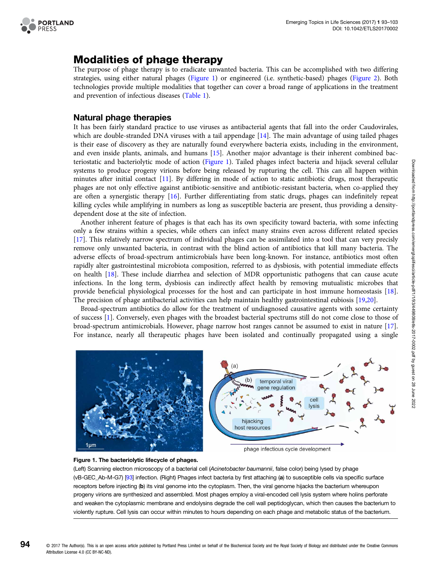

# Modalities of phage therapy

The purpose of phage therapy is to eradicate unwanted bacteria. This can be accomplished with two differing strategies, using either natural phages (Figure 1) or engineered (i.e. synthetic-based) phages ([Figure 2\)](#page-2-0). Both technologies provide multiple modalities that together can cover a broad range of applications in the treatment and prevention of infectious diseases ([Table 1](#page-2-0)).

## Natural phage therapies

It has been fairly standard practice to use viruses as antibacterial agents that fall into the order Caudovirales, which are double-stranded DNA viruses with a tail appendage [[14](#page-7-0)]. The main advantage of using tailed phages is their ease of discovery as they are naturally found everywhere bacteria exists, including in the environment, and even inside plants, animals, and humans [\[15\]](#page-7-0). Another major advantage is their inherent combined bacteriostatic and bacteriolytic mode of action (Figure 1). Tailed phages infect bacteria and hijack several cellular systems to produce progeny virions before being released by rupturing the cell. This can all happen within minutes after initial contact [[11\]](#page-7-0). By differing in mode of action to static antibiotic drugs, most therapeutic phages are not only effective against antibiotic-sensitive and antibiotic-resistant bacteria, when co-applied they are often a synergistic therapy [\[16\]](#page-7-0). Further differentiating from static drugs, phages can indefinitely repeat killing cycles while amplifying in numbers as long as susceptible bacteria are present, thus providing a densitydependent dose at the site of infection.

Another inherent feature of phages is that each has its own specificity toward bacteria, with some infecting only a few strains within a species, while others can infect many strains even across different related species [[17](#page-7-0)]. This relatively narrow spectrum of individual phages can be assimilated into a tool that can very precisly remove only unwanted bacteria, in contrast with the blind action of antibiotics that kill many bacteria. The adverse effects of broad-spectrum antimicrobials have been long-known. For instance, antibiotics most often rapidly alter gastrointestinal microbiota composition, referred to as dysbiosis, with potential immediate effects on health [\[18\]](#page-7-0). These include diarrhea and selection of MDR opportunistic pathogens that can cause acute infections. In the long term, dysbiosis can indirectly affect health by removing mutualistic microbes that provide beneficial physiological processes for the host and can participate in host immune homeostasis [[18](#page-7-0)]. The precision of phage antibacterial activities can help maintain healthy gastrointestinal eubiosis [[19,20\]](#page-7-0).

Broad-spectrum antibiotics do allow for the treatment of undiagnosed causative agents with some certainty of success [\[1\]](#page-7-0). Conversely, even phages with the broadest bacterial spectrums still do not come close to those of broad-spectrum antimicrobials. However, phage narrow host ranges cannot be assumed to exist in nature [[17](#page-7-0)]. For instance, nearly all therapeutic phages have been isolated and continually propagated using a single





(Left) Scanning electron microscopy of a bacterial cell (Acinetobacter baumannii, false color) being lysed by phage (vB-GEC\_Ab-M-G7) [\[93\]](#page-9-0) infection. (Right) Phages infect bacteria by first attaching (a) to susceptible cells via specific surface receptors before injecting (b) its viral genome into the cytoplasm. Then, the viral genome hijacks the bacterium whereupon progeny virions are synthesized and assembled. Most phages employ a viral-encoded cell lysis system where holins perforate and weaken the cytoplasmic membrane and endolysins degrade the cell wall peptidoglycan, which then causes the bacterium to violently rupture. Cell lysis can occur within minutes to hours depending on each phage and metabolic status of the bacterium.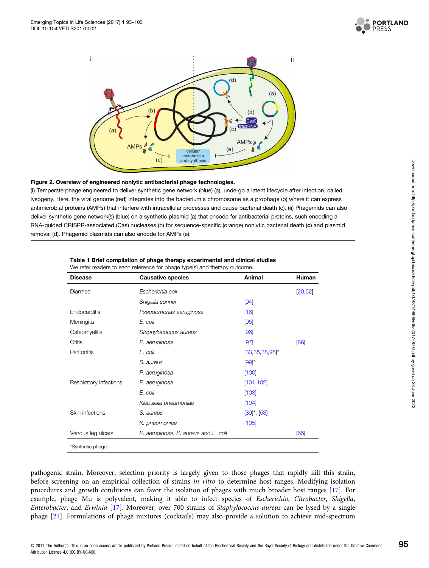

<span id="page-2-0"></span>

#### Figure 2. Overview of engineered nonlytic antibacterial phage technologies.

(i) Temperate phage engineered to deliver synthetic gene network (blue) (a), undergo a latent lifecycle after infection, called lysogeny. Here, the viral genome (red) integrates into the bacterium's chromosome as a prophage (b) where it can express antimicrobial proteins (AMPs) that interfere with intracellular processes and cause bacterial death (c). (ii) Phagemids can also deliver synthetic gene network(s) (blue) on a synthetic plasmid (a) that encode for antibacterial proteins, such encoding a RNA-guided CRISPR-associated (Cas) nucleases (b) for sequence-specific (orange) nonlytic bacterial death (c) and plasmid removal (d). Phagemid plasmids can also encode for AMPs (e).

| Escherichia coli                     |                              |          |
|--------------------------------------|------------------------------|----------|
|                                      |                              | [20, 52] |
| Shigella sonnei                      | [94]                         |          |
| Pseudomonas aeruginosa               | [16]                         |          |
| E. coli                              | [95]                         |          |
| Staphylococcus aureus                | [96]                         |          |
| P. aeruginosa                        | [97]                         | [66]     |
| E. coli                              | $[33, 35, 38, 98]^*$         |          |
| S. aureus                            | $[99]$ *                     |          |
| P. aeruginosa                        | [100]                        |          |
| P. aeruginosa                        | [101, 102]                   |          |
| E. coli                              | [103]                        |          |
| Klebsiella pneumoniae                | [104]                        |          |
| S. aureus                            | $[39]$ <sup>*</sup> , $[53]$ |          |
| K. pneumoniae                        | [105]                        |          |
| P. aeruginosa, S. aureus and E. coli |                              | [65]     |
|                                      |                              |          |

| Table 1 Brief compilation of phage therapy experimental and clinical studies |  |
|------------------------------------------------------------------------------|--|
|------------------------------------------------------------------------------|--|

We refer readers to each reference for phage type(s) and therapy outcome.

pathogenic strain. Moreover, selection priority is largely given to those phages that rapidly kill this strain, before screening on an empirical collection of strains in vitro to determine host ranges. Modifying isolation procedures and growth conditions can favor the isolation of phages with much broader host ranges [[17](#page-7-0)]. For example, phage Mu is polyvalent, making it able to infect species of Escherichia, Citrobacter, Shigella, Enterobacter, and Erwinia [\[17\]](#page-7-0). Moreover, over 700 strains of Staphylococcus aureus can be lysed by a single phage [[21](#page-7-0)]. Formulations of phage mixtures (cocktails) may also provide a solution to achieve mid-spectrum

95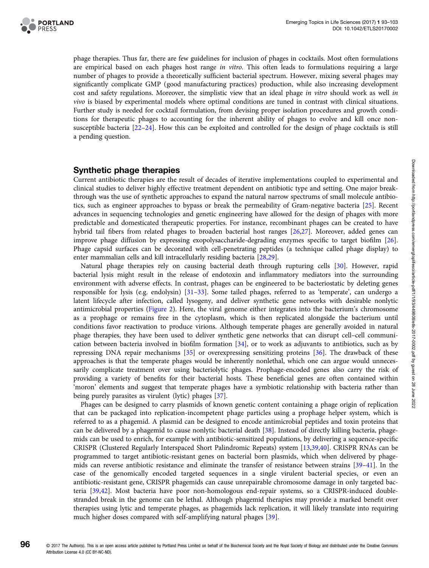

phage therapies. Thus far, there are few guidelines for inclusion of phages in cocktails. Most often formulations are empirical based on each phages host range in vitro. This often leads to formulations requiring a large number of phages to provide a theoretically sufficient bacterial spectrum. However, mixing several phages may significantly complicate GMP (good manufacturing practices) production, while also increasing development cost and safety regulations. Moreover, the simplistic view that an ideal phage in vitro should work as well in vivo is biased by experimental models where optimal conditions are tuned in contrast with clinical situations. Further study is needed for cocktail formulation, from devising proper isolation procedures and growth conditions for therapeutic phages to accounting for the inherent ability of phages to evolve and kill once nonsusceptible bacteria [[22](#page-7-0)–[24](#page-7-0)]. How this can be exploited and controlled for the design of phage cocktails is still a pending question.

#### Synthetic phage therapies

Current antibiotic therapies are the result of decades of iterative implementations coupled to experimental and clinical studies to deliver highly effective treatment dependent on antibiotic type and setting. One major breakthrough was the use of synthetic approaches to expand the natural narrow spectrums of small molecule antibiotics, such as engineer approaches to bypass or break the permeability of Gram-negative bacteria [[25](#page-7-0)]. Recent advances in sequencing technologies and genetic engineering have allowed for the design of phages with more predictable and domesticated therapeutic properties. For instance, recombinant phages can be created to have hybrid tail fibers from related phages to broaden bacterial host ranges [[26,27\]](#page-7-0). Moreover, added genes can improve phage diffusion by expressing exopolysaccharide-degrading enzymes specific to target biofilm [[26](#page-7-0)]. Phage capsid surfaces can be decorated with cell-penetrating peptides (a technique called phage display) to enter mammalian cells and kill intracellularly residing bacteria [\[28,29\]](#page-7-0).

Natural phage therapies rely on causing bacterial death through rupturing cells [\[30](#page-7-0)]. However, rapid bacterial lysis might result in the release of endotoxin and inflammatory mediators into the surrounding environment with adverse effects. In contrast, phages can be engineered to be bacteriostatic by deleting genes responsible for lysis (e.g. endolysin) [[31](#page-8-0)–[33\]](#page-8-0). Some tailed phages, referred to as 'temperate', can undergo a latent lifecycle after infection, called lysogeny, and deliver synthetic gene networks with desirable nonlytic antimicrobial properties [\(Figure 2\)](#page-2-0). Here, the viral genome either integrates into the bacterium's chromosome as a prophage or remains free in the cytoplasm, which is then replicated alongside the bacterium until conditions favor reactivation to produce virions. Although temperate phages are generally avoided in natural phage therapies, they have been used to deliver synthetic gene networks that can disrupt cell–cell communication between bacteria involved in biofilm formation [[34](#page-8-0)], or to work as adjuvants to antibiotics, such as by repressing DNA repair mechanisms [\[35\]](#page-8-0) or overexpressing sensitizing proteins [\[36\]](#page-8-0). The drawback of these approaches is that the temperate phages would be inherently nonlethal, which one can argue would unnecessarily complicate treatment over using bacteriolytic phages. Prophage-encoded genes also carry the risk of providing a variety of benefits for their bacterial hosts. These beneficial genes are often contained within 'moron' elements and suggest that temperate phages have a symbiotic relationship with bacteria rather than being purely parasites as virulent (lytic) phages [[37](#page-8-0)].

Phages can be designed to carry plasmids of known genetic content containing a phage origin of replication that can be packaged into replication-incompetent phage particles using a prophage helper system, which is referred to as a phagemid. A plasmid can be designed to encode antimicrobial peptides and toxin proteins that can be delivered by a phagemid to cause nonlytic bacterial death [[38](#page-8-0)]. Instead of directly killing bacteria, phagemids can be used to enrich, for example with antibiotic-sensitized populations, by delivering a sequence-specific CRISPR (Clustered Regularly Interspaced Short Palindromic Repeats) system [[13](#page-7-0),[39,40\]](#page-8-0). CRISPR RNAs can be programmed to target antibiotic-resistant genes on bacterial born plasmids, which when delivered by phagemids can reverse antibiotic resistance and eliminate the transfer of resistance between strains [[39](#page-8-0)–[41](#page-8-0)]. In the case of the genomically encoded targeted sequences in a single virulent bacterial species, or even an antibiotic-resistant gene, CRISPR phagemids can cause unrepairable chromosome damage in only targeted bacteria [\[39,42\]](#page-8-0). Most bacteria have poor non-homologous end-repair systems, so a CRISPR-induced doublestranded break in the genome can be lethal. Although phagemid therapies may provide a marked benefit over therapies using lytic and temperate phages, as phagemids lack replication, it will likely translate into requiring much higher doses compared with self-amplifying natural phages [\[39\]](#page-8-0).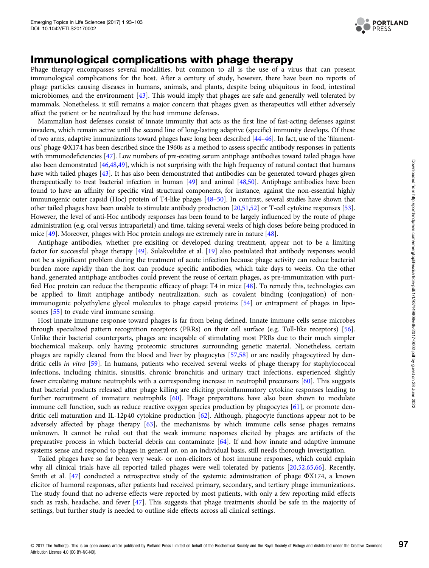

## Immunological complications with phage therapy

Phage therapy encompasses several modalities, but common to all is the use of a virus that can present immunological complications for the host. After a century of study, however, there have been no reports of phage particles causing diseases in humans, animals, and plants, despite being ubiquitous in food, intestinal microbiomes, and the environment [[43](#page-8-0)]. This would imply that phages are safe and generally well tolerated by mammals. Nonetheless, it still remains a major concern that phages given as therapeutics will either adversely affect the patient or be neutralized by the host immune defenses.

Mammalian host defenses consist of innate immunity that acts as the first line of fast-acting defenses against invaders, which remain active until the second line of long-lasting adaptive (specific) immunity develops. Of these of two arms, adaptive immunizations toward phages have long been described [\[44](#page-8-0)–[46](#page-8-0)]. In fact, use of the 'filamentous' phage ΦX174 has been described since the 1960s as a method to assess specific antibody responses in patients with immunodeficiencies [\[47\]](#page-8-0). Low numbers of pre-existing serum antiphage antibodies toward tailed phages have also been demonstrated [\[46,48,49](#page-8-0)], which is not surprising with the high frequency of natural contact that humans have with tailed phages [\[43\]](#page-8-0). It has also been demonstrated that antibodies can be generated toward phages given therapeutically to treat bacterial infection in human [[49](#page-8-0)] and animal [[48,50](#page-8-0)]. Antiphage antibodies have been found to have an affinity for specific viral structural components, for instance, against the non-essential highly immunogenic outer capsid (Hoc) protein of T4-like phages [[48](#page-8-0)–[50\]](#page-8-0). In contrast, several studies have shown that other tailed phages have been unable to stimulate antibody production [\[20,](#page-7-0)[51,52\]](#page-8-0) or T-cell cytokine responses [\[53\]](#page-8-0). However, the level of anti-Hoc antibody responses has been found to be largely influenced by the route of phage administration (e.g. oral versus intraparietal) and time, taking several weeks of high doses before being produced in mice [\[49\]](#page-8-0). Moreover, phages with Hoc protein analogs are extremely rare in nature [\[48\]](#page-8-0).

Antiphage antibodies, whether pre-exisiting or developed during treatment, appear not to be a limiting factor for successful phage therapy [\[49\]](#page-8-0). Sulakvelidze et al. [[19](#page-7-0)] also postulated that antibody responses would not be a significant problem during the treatment of acute infection because phage activity can reduce bacterial burden more rapidly than the host can produce specific antibodies, which take days to weeks. On the other hand, generated antiphage antibodies could prevent the reuse of certain phages, as pre-immunization with purified Hoc protein can reduce the therapeutic efficacy of phage T4 in mice [[48](#page-8-0)]. To remedy this, technologies can be applied to limit antiphage antibody neutralization, such as covalent binding (conjugation) of nonimmunogenic polyethylene glycol molecules to phage capsid proteins [[54](#page-8-0)] or entrapment of phages in liposomes [[55](#page-8-0)] to evade viral immune sensing.

Host innate immune response toward phages is far from being defined. Innate immune cells sense microbes through specialized pattern recognition receptors (PRRs) on their cell surface (e.g. Toll-like receptors) [\[56\]](#page-8-0). Unlike their bacterial counterparts, phages are incapable of stimulating most PRRs due to their much simpler biochemical makeup, only having proteomic structures surrounding genetic material. Nonetheless, certain phages are rapidly cleared from the blood and liver by phagocytes [[57,58](#page-8-0)] or are readily phagocytized by dendritic cells in vitro [\[59\]](#page-8-0). In humans, patients who received several weeks of phage therapy for staphylococcal infections, including rhinitis, sinusitis, chronic bronchitis and urinary tract infections, experienced slightly fewer circulating mature neutrophils with a corresponding increase in neutrophil precursors [\[60](#page-8-0)]. This suggests that bacterial products released after phage killing are eliciting proinflammatory cytokine responses leading to further recruitment of immature neutrophils [\[60\]](#page-8-0). Phage preparations have also been shown to modulate immune cell function, such as reduce reactive oxygen species production by phagocytes [[61](#page-8-0)], or promote dendritic cell maturation and IL-12p40 cytokine production [[62](#page-8-0)]. Although, phagocyte functions appear not to be adversely affected by phage therapy [\[63\]](#page-8-0), the mechanisms by which immune cells sense phages remains unknown. It cannot be ruled out that the weak immune responses elicited by phages are artifacts of the preparative process in which bacterial debris can contaminate [\[64\]](#page-9-0). If and how innate and adaptive immune systems sense and respond to phages in general or, on an individual basis, still needs thorough investigation.

Tailed phages have so far been very weak- or non-elicitors of host immune responses, which could explain why all clinical trials have all reported tailed phages were well tolerated by patients [\[20,](#page-7-0)[52,](#page-8-0)[65](#page-9-0),[66](#page-9-0)]. Recently, Smith et al. [\[47\]](#page-8-0) conducted a retrospective study of the systemic administration of phage ΦX174, a known elicitor of humoral responses, after patients had received primary, secondary, and tertiary phage immunizations. The study found that no adverse effects were reported by most patients, with only a few reporting mild effects such as rash, headache, and fever [[47](#page-8-0)]. This suggests that phage treatments should be safe in the majority of settings, but further study is needed to outline side effects across all clinical settings.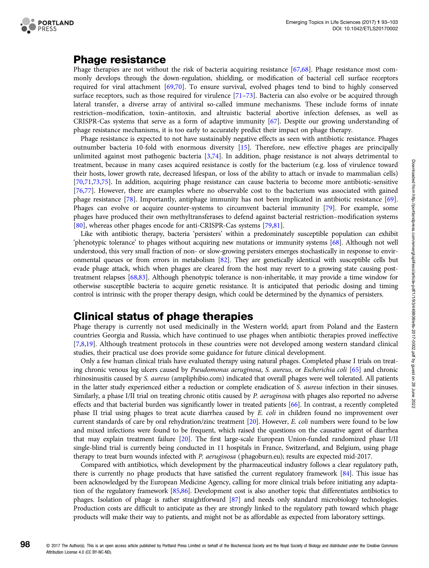

## Phage resistance

Phage therapies are not without the risk of bacteria acquiring resistance [\[67,68](#page-9-0)]. Phage resistance most commonly develops through the down-regulation, shielding, or modification of bacterial cell surface receptors required for viral attachment [\[69,70\]](#page-9-0). To ensure survival, evolved phages tend to bind to highly conserved surface receptors, such as those required for virulence [[71](#page-9-0)–[73](#page-9-0)]. Bacteria can also evolve or be acquired through lateral transfer, a diverse array of antiviral so-called immune mechanisms. These include forms of innate restriction–modification, toxin–antitoxin, and altruistic bacterial abortive infection defenses, as well as CRISPR-Cas systems that serve as a form of adaptive immunity [\[67\]](#page-9-0). Despite our growing understanding of phage resistance mechanisms, it is too early to accurately predict their impact on phage therapy.

Phage resistance is expected to not have sustainably negative effects as seen with antibiotic resistance. Phages outnumber bacteria 10-fold with enormous diversity [\[15\]](#page-7-0). Therefore, new effective phages are principally unlimited against most pathogenic bacteria [\[3](#page-7-0)[,74\]](#page-9-0). In addition, phage resistance is not always detrimental to treatment, because in many cases acquired resistance is costly for the bacterium (e.g. loss of virulence toward their hosts, lower growth rate, decreased lifespan, or loss of the ability to attach or invade to mammalian cells) [[70,71,73,75](#page-9-0)]. In addition, acquiring phage resistance can cause bacteria to become more antibiotic-sensitive [[76,77\]](#page-9-0). However, there are examples where no observable cost to the bacterium was associated with gained phage resistance [\[78\]](#page-9-0). Importantly, antiphage immunity has not been implicated in antibiotic resistance [[69](#page-9-0)]. Phages can evolve or acquire counter-systems to circumvent bacterial immunity [\[79\]](#page-9-0). For example, some phages have produced their own methyltransferases to defend against bacterial restriction–modification systems [[80](#page-9-0)], whereas other phages encode for anti-CRISPR-Cas systems [[79,81](#page-9-0)].

Like with antibiotic therapy, bacteria 'persisters' within a predominately susceptible population can exhibit 'phenotypic tolerance' to phages without acquiring new mutations or immunity systems [[68\]](#page-9-0). Although not well understood, this very small fraction of non- or slow-growing persisters emerges stochastically in response to environmental queues or from errors in metabolism [\[82\]](#page-9-0). They are genetically identical with susceptible cells but evade phage attack, which when phages are cleared from the host may revert to a growing state causing posttreatment relapses [\[68,83\]](#page-9-0). Although phenotypic tolerance is non-inheritable, it may provide a time window for otherwise susceptible bacteria to acquire genetic resistance. It is anticipated that periodic dosing and timing control is intrinsic with the proper therapy design, which could be determined by the dynamics of persisters.

## Clinical status of phage therapies

Phage therapy is currently not used medicinally in the Western world; apart from Poland and the Eastern countries Georgia and Russia, which have continued to use phages when antibiotic therapies proved ineffective [[7,8,19](#page-7-0)]. Although treatment protocols in these countries were not developed among western standard clinical studies, their practical use does provide some guidance for future clinical development.

Only a few human clinical trials have evaluated therapy using natural phages. Completed phase I trials on treating chronic venous leg ulcers caused by Pseudomonas aeruginosa, S. aureus, or Escherichia coli [[65](#page-9-0)] and chronic rhinosinusitis caused by S. aureus (ampliphibio.com) indicated that overall phages were well tolerated. All patients in the latter study experienced either a reduction or complete eradication of S. aureus infection in their sinuses. Similarly, a phase I/II trial on treating chronic otitis caused by P. aeruginosa with phages also reported no adverse effects and that bacterial burden was significantly lower in treated patients [\[66](#page-9-0)]. In contrast, a recently completed phase II trial using phages to treat acute diarrhea caused by E. coli in children found no improvement over current standards of care by oral rehydration/zinc treatment [\[20\]](#page-7-0). However, E. coli numbers were found to be low and mixed infections were found to be frequent, which raised the questions on the causative agent of diarrhea that may explain treatment failure [[20](#page-7-0)]. The first large-scale European Union-funded randomized phase I/II single-blind trial is currently being conducted in 11 hospitals in France, Switzerland, and Belgium, using phage therapy to treat burn wounds infected with P. aeruginosa (phagoburn.eu); results are expected mid-2017.

Compared with antibiotics, which development by the pharmaceutical industry follows a clear regulatory path, there is currently no phage products that have satisfied the current regulatory framework [[84](#page-9-0)]. This issue has been acknowledged by the European Medicine Agency, calling for more clinical trials before initiating any adaptation of the regulatory framework [[85,86\]](#page-9-0). Development cost is also another topic that differentiates antibiotics to phages. Isolation of phage is rather straightforward [\[87\]](#page-9-0) and needs only standard microbiology technologies. Production costs are difficult to anticipate as they are strongly linked to the regulatory path toward which phage products will make their way to patients, and might not be as affordable as expected from laboratory settings.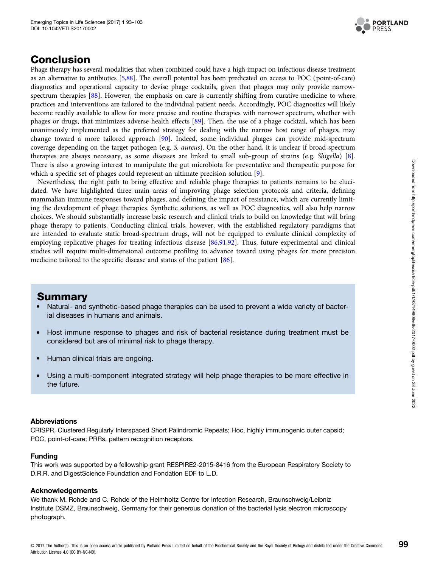

## Conclusion

Phage therapy has several modalities that when combined could have a high impact on infectious disease treatment as an alternative to antibiotics [[5](#page-7-0)[,88\]](#page-9-0). The overall potential has been predicated on access to POC (point-of-care) diagnostics and operational capacity to devise phage cocktails, given that phages may only provide narrow-spectrum therapies [\[88\]](#page-9-0). However, the emphasis on care is currently shifting from curative medicine to where practices and interventions are tailored to the individual patient needs. Accordingly, POC diagnostics will likely become readily available to allow for more precise and routine therapies with narrower spectrum, whether with phages or drugs, that minimizes adverse health effects [\[89\]](#page-9-0). Then, the use of a phage cocktail, which has been unanimously implemented as the preferred strategy for dealing with the narrow host range of phages, may change toward a more tailored approach [[90\]](#page-9-0). Indeed, some individual phages can provide mid-spectrum coverage depending on the target pathogen (e.g. S. aureus). On the other hand, it is unclear if broad-spectrum therapies are always necessary, as some diseases are linked to small sub-group of strains (e.g. Shigella) [[8\]](#page-7-0). There is also a growing interest to manipulate the gut microbiota for preventative and therapeutic purpose for which a specific set of phages could represent an ultimate precision solution [\[9\]](#page-7-0).

Nevertheless, the right path to bring effective and reliable phage therapies to patients remains to be elucidated. We have highlighted three main areas of improving phage selection protocols and criteria, defining mammalian immune responses toward phages, and defining the impact of resistance, which are currently limiting the development of phage therapies. Synthetic solutions, as well as POC diagnostics, will also help narrow choices. We should substantially increase basic research and clinical trials to build on knowledge that will bring phage therapy to patients. Conducting clinical trials, however, with the established regulatory paradigms that are intended to evaluate static broad-spectrum drugs, will not be equipped to evaluate clinical complexity of employing replicative phages for treating infectious disease [[86,91,92\]](#page-9-0). Thus, future experimental and clinical studies will require multi-dimensional outcome profiling to advance toward using phages for more precision medicine tailored to the specific disease and status of the patient [[86](#page-9-0)].

## Summary

- Natural- and synthetic-based phage therapies can be used to prevent a wide variety of bacterial diseases in humans and animals.
- Host immune response to phages and risk of bacterial resistance during treatment must be considered but are of minimal risk to phage therapy.
- Human clinical trials are ongoing.
- Using a multi-component integrated strategy will help phage therapies to be more effective in the future.

#### Abbreviations

CRISPR, Clustered Regularly Interspaced Short Palindromic Repeats; Hoc, highly immunogenic outer capsid; POC, point-of-care; PRRs, pattern recognition receptors.

#### Funding

This work was supported by a fellowship grant RESPIRE2-2015-8416 from the European Respiratory Society to D.R.R. and DigestScience Foundation and Fondation EDF to L.D.

#### Acknowledgements

We thank M. Rohde and C. Rohde of the Helmholtz Centre for Infection Research, Braunschweig/Leibniz Institute DSMZ, Braunschweig, Germany for their generous donation of the bacterial lysis electron microscopy photograph.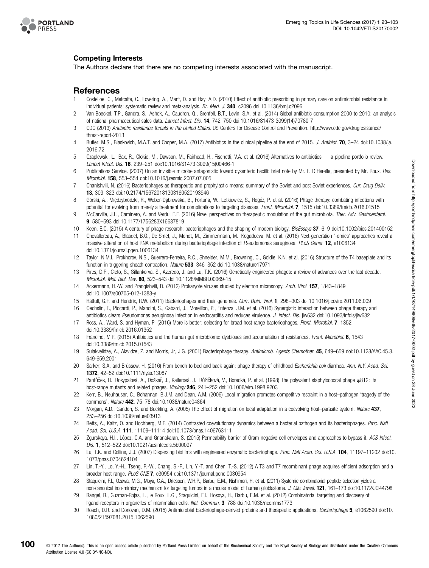<span id="page-7-0"></span>

#### Competing Interests

The Authors declare that there are no competing interests associated with the manuscript.

# **References**

- 1 Costelloe, C., Metcalfe, C., Lovering, A., Mant, D. and Hay, A.D. (2010) Effect of antibiotic prescribing in primary care on antimicrobial resistance in individual patients: systematic review and meta-analysis. Br. Med. J. 340, c2096 doi[:10.1136/bmj.c2096](http://dx.doi.org/doi:10.1136/bmj.c2096)
- 2 Van Boeckel, T.P., Gandra, S., Ashok, A., Caudron, Q., Grenfell, B.T., Levin, S.A. et al. (2014) Global antibiotic consumption 2000 to 2010: an analysis of national pharmaceutical sales data. Lancet Infect. Dis. 14, 742–750 doi[:10.1016/S1473-3099\(14\)70780-7](http://dx.doi.org/doi:10.1016/S1473-3099(14)70780-7)
- 3 CDC (2013) Antibiotic resistance threats in the United States. US Centers for Disease Control and Prevention. [http://www.cdc.gov/drugresistance/](http://www.cdc.gov/drugresistance/threat-report-2013) [threat-report-2013](http://www.cdc.gov/drugresistance/threat-report-2013)
- 4 Butler, M.S., Blaskovich, M.A.T. and Cooper, M.A. (2017) Antibiotics in the clinical pipeline at the end of 2015. J. Antibiot. 70, 3–24 doi[:10.1038/ja.](http://dx.doi.org/doi:10.1038/ja.2016.72) [2016.72](http://dx.doi.org/doi:10.1038/ja.2016.72)
- 5 Czaplewski, L., Bax, R., Clokie, M., Dawson, M., Fairhead, H., Fischetti, V.A. et al. (2016) Alternatives to antibiotics a pipeline portfolio review. Lancet Infect. Dis. 16, 239–251 doi[:10.1016/S1473-3099\(15\)00466-1](http://dx.doi.org/doi:10.1016/S1473-3099(15)00466-1)
- 6 Publications Service. (2007) On an invisible microbe antagonistic toward dysenteric bacilli: brief note by Mr. F. D'Herelle, presented by Mr. Roux. Res. Microbiol. 158, 553–554 doi:[10.1016/j.resmic.2007.07.005](http://dx.doi.org/doi:10.1016/j.resmic.2007.07.005)
- 7 Chanishvili, N. (2016) Bacteriophages as therapeutic and prophylactic means: summary of the Soviet and post Soviet experiences. Cur. Drug Deliv. 13, 309–323 doi[:10.2174/156720181303160520193946](http://dx.doi.org/doi:10.2174/156720181303160520193946)
- 8 Górski, A., Miedzybrodzki, R., Weber-Dabrowska, B., Fortuna, W., Letkiewicz, S., Rogóż, P. et al. (2016) Phage therapy: combating infections with potential for evolving from merely a treatment for complications to targeting diseases. Front. Microbiol. 7, 1515 doi[:10.3389/fmicb.2016.01515](http://dx.doi.org/doi:10.3389/fmicb.2016.01515)
- 9 McCarville, J.L., Caminero, A. and Verdu, E.F. (2016) Novel perspectives on therapeutic modulation of the gut microbiota. Ther. Adv. Gastroenterol. 9, 580–593 doi:[10.1177/1756283X16637819](http://dx.doi.org/doi:10.1177/1756283X16637819)
- 10 Keen, E.C. (2015) A century of phage research: bacteriophages and the shaping of modern biology. BioEssays 37, 6–9 doi:[10.1002/bies.201400152](http://dx.doi.org/doi:10.1002/bies.201400152)
- 11 Chevallereau, A., Blasdel, B.G., De Smet, J., Monot, M., Zimmermann, M., Kogadeeva, M. et al. (2016) Next-generation '-omics' approaches reveal a massive alteration of host RNA metabolism during bacteriophage infection of Pseudomonas aeruginosa. PLoS Genet. 12, e1006134 doi[:10.1371/journal.pgen.1006134](http://dx.doi.org/doi:10.�1371/�journal.pgen.1006134)
- 12 Taylor, N.M.I., Prokhorov, N.S., Guerrero-Ferreira, R.C., Shneider, M.M., Browning, C., Goldie, K.N. et al. (2016) Structure of the T4 baseplate and its function in triggering sheath contraction. Nature 533, 346–352 doi[:10.1038/nature17971](http://dx.doi.org/doi:10.1038/nature17971)
- 13 Pires, D.P., Cleto, S., Sillankorva, S., Azeredo, J. and Lu, T.K. (2016) Genetically engineered phages: a review of advances over the last decade. Microbiol. Mol. Biol. Rev. 80, 523–543 doi[:10.1128/MMBR.00069-15](http://dx.doi.org/doi:10.1128/MMBR.00069-15)
- 14 Ackermann, H.-W. and Prangishvili, D. (2012) Prokaryote viruses studied by electron microscopy. Arch. Virol. 157, 1843–1849 doi[:10.1007/s00705-012-1383-y](http://dx.doi.org/doi:10.�1007/�s00705-012-1383-y)
- 15 Hatfull, G.F. and Hendrix, R.W. (2011) Bacteriophages and their genomes. Curr. Opin. Virol. 1, 298–303 doi:[10.1016/j.coviro.2011.06.009](http://dx.doi.org/doi:10.1016/j.coviro.2011.06.009)
- 16 Oechslin, F., Piccardi, P., Mancini, S., Gabard, J., Moreillon, P., Entenza, J.M. et al. (2016) Synergistic interaction between phage therapy and antibiotics clears Pseudomonas aeruginosa infection in endocarditis and reduces virulence. J. Infect. Dis. jiw632 doi:[10.1093/infdis/jiw632](http://dx.doi.org/doi:10.1093/infdis/jiw632)
- 17 Ross, A., Ward, S. and Hyman, P. (2016) More is better: selecting for broad host range bacteriophages. Front. Microbiol. 7, 1352 doi[:10.3389/fmicb.2016.01352](http://dx.doi.org/doi:10.�3389/�fmicb.�2016.01352)
- 18 Francino, M.P. (2015) Antibiotics and the human gut microbiome: dysbioses and accumulation of resistances. Front. Microbiol. 6, 1543 doi[:10.3389/fmicb.2015.01543](http://dx.doi.org/doi:10.�3389/�fmicb.2015.01543)
- 19 Sulakvelidze, A., Alavidze, Z. and Morris, Jr, J.G. (2001) Bacteriophage therapy. Antimicrob. Agents Chemother. 45, 649–659 doi:[10.1128/AAC.45.3.](http://dx.doi.org/doi:10.1128/AAC.45.3.649-659.2001) [649-659.2001](http://dx.doi.org/doi:10.1128/AAC.45.3.649-659.2001)
- 20 Sarker, S.A. and Brüssow, H. (2016) From bench to bed and back again: phage therapy of childhood Escherichia coli diarrhea. Ann. N.Y. Acad. Sci. 1372, 42–52 doi[:10.1111/nyas.13087](http://dx.doi.org/doi:10.1111/nyas.13087)
- 21 Pantůček, R., Rosypalová, A., Doškař, J., Kailerová, J., Růžičková, V., Borecká, P. et al. (1998) The polyvalent staphylococcal phage o812: its host-range mutants and related phages. Virology 246, 241-252 doi:[10.1006/viro.1998.9203](http://dx.doi.org/doi:10.1006/viro.1998.9203)
- 22 Kerr, B., Neuhauser, C., Bohannan, B.J.M. and Dean, A.M. (2006) Local migration promotes competitive restraint in a host–pathogen 'tragedy of the commons'. Nature 442, 75–78 doi:[10.1038/nature04864](http://dx.doi.org/doi:10.1038/nature04864)
- 23 Morgan, A.D., Gandon, S. and Buckling, A. (2005) The effect of migration on local adaptation in a coevolving host–parasite system. Nature 437, 253–256 doi[:10.1038/nature03913](http://dx.doi.org/doi:10.1038/nature03913)
- 24 Betts, A., Kaltz, O. and Hochberg, M.E. (2014) Contrasted coevolutionary dynamics between a bacterial pathogen and its bacteriophages. Proc. Natl Acad. Sci. U.S.A. 111, 11109-11114 doi:[10.1073/pnas.1406763111](http://dx.doi.org/doi:10.1073/pnas.1406763111)
- 25 Zgurskaya, H.I., López, C.A. and Gnanakaran, S. (2015) Permeability barrier of Gram-negative cell envelopes and approaches to bypass it. ACS Infect. Dis. 1, 512–522 doi:[10.1021/acsinfecdis.5b00097](http://dx.doi.org/doi:10.1021/acsinfecdis.5b00097)
- 26 Lu, T.K. and Collins, J.J. (2007) Dispersing biofilms with engineered enzymatic bacteriophage. Proc. Natl Acad. Sci. U.S.A. 104, 11197-11202 doi[:10.](http://dx.doi.org/doi:10.1073/pnas.0704624104) [1073/pnas.0704624104](http://dx.doi.org/doi:10.1073/pnas.0704624104)
- 27 Lin, T.-Y., Lo, Y.-H., Tseng, P.-W., Chang, S.-F., Lin, Y.-T. and Chen, T.-S. (2012) A T3 and T7 recombinant phage acquires efficient adsorption and a broader host range. PLoS ONE 7, e30954 doi:[10.1371/journal.pone.0030954](http://dx.doi.org/doi:10.1371/journal.pone.0030954)
- 28 Staquicini, F.I., Ozawa, M.G., Moya, C.A., Driessen, W.H.P., Barbu, E.M., Nishimori, H. et al. (2011) Systemic combinatorial peptide selection yields a non-canonical iron-mimicry mechanism for targeting tumors in a mouse model of human glioblastoma. J. Clin. Invest. 121, 161-173 doi:[10.1172/JCI44798](http://dx.doi.org/doi:10.1172/JCI44798)
- 29 Rangel, R., Guzman-Rojas, L., le Roux, L.G., Staquicini, F.I., Hosoya, H., Barbu, E.M. et al. (2012) Combinatorial targeting and discovery of ligand-receptors in organelles of mammalian cells. Nat. Commun. 3, 788 doi:[10.1038/ncomms1773](http://dx.doi.org/doi:10.1038/ncomms1773)
- 30 Roach, D.R. and Donovan, D.M. (2015) Antimicrobial bacteriophage-derived proteins and therapeutic applications. Bacteriophage 5, e1062590 doi[:10.](http://dx.doi.org/doi:10.1080/21597081.2015.1062590) [1080/21597081.2015.1062590](http://dx.doi.org/doi:10.1080/21597081.2015.1062590)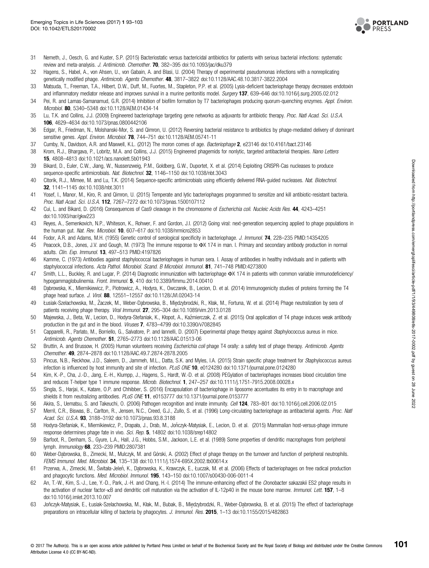

- <span id="page-8-0"></span>31 Nemeth, J., Oesch, G. and Kuster, S.P. (2015) Bacteriostatic versus bactericidal antibiotics for patients with serious bacterial infections: systematic review and meta-analysis. J. Antimicrob. Chemother. 70, 382–395 doi[:10.1093/jac/dku379](http://dx.doi.org/doi:10.1093/jac/dku379)
- 32 Hagens, S., Habel, A., von Ahsen, U., von Gabain, A. and Blasi, U. (2004) Therapy of experimental pseudomonas infections with a nonreplicating genetically modified phage. Antimicrob. Agents Chemother. 48, 3817-3822 doi[:10.1128/AAC.48.10.3817-3822.2004](http://dx.doi.org/doi:10.1128/AAC.48.10.3817-3822.2004)
- 33 Matsuda, T., Freeman, T.A., Hilbert, D.W., Duff, M., Fuortes, M., Stapleton, P.P. et al. (2005) Lysis-deficient bacteriophage therapy decreases endotoxin and inflammatory mediator release and improves survival in a murine peritonitis model. Surgery 137, 639-646 doi[:10.1016/j.surg.2005.02.012](http://dx.doi.org/doi:10.1016/j.surg.2005.02.012)
- 34 Pei, R. and Lamas-Samanamud, G.R. (2014) Inhibition of biofilm formation by T7 bacteriophages producing quorum-quenching enzymes. Appl. Environ. Microbiol. 80, 5340-5348 doi:[10.1128/AEM.01434-14](http://dx.doi.org/doi:10.1128/AEM.01434-14)
- 35 Lu, T.K. and Collins, J.J. (2009) Engineered bacteriophage targeting gene networks as adjuvants for antibiotic therapy. Proc. Natl Acad. Sci. U.S.A. 106, 4629–4634 doi[:10.1073/pnas.0800442106](http://dx.doi.org/doi:10.1073/pnas.0800442106)
- 36 Edgar, R., Friedman, N., Molshanski-Mor, S. and Qimron, U. (2012) Reversing bacterial resistance to antibiotics by phage-mediated delivery of dominant sensitive genes. Appl. Environ. Microbiol. 78, 744-751 doi[:10.1128/AEM.05741-11](http://dx.doi.org/doi:10.1128/AEM.05741-11)
- 37 Cumby, N., Davidson, A.R. and Maxwell, K.L. (2012) The moron comes of age. Bacteriophage 2, e23146 doi[:10.4161/bact.23146](http://dx.doi.org/doi:10.4161/bact.23146)
- 38 Krom, R.J., Bhargava, P., Lobritz, M.A. and Collins, J.J. (2015) Engineered phagemids for nonlytic, targeted antibacterial therapies. Nano Letters 15, 4808–4813 doi:[10.1021/acs.nanolett.5b01943](http://dx.doi.org/doi:10.1021/acs.nanolett.5b01943)
- 39 Bikard, D., Euler, C.W., Jiang, W., Nussenzweig, P.M., Goldberg, G.W., Duportet, X. et al. (2014) Exploiting CRISPR-Cas nucleases to produce sequence-specific antimicrobials. Nat. Biotechnol. 32, 1146-1150 doi:[10.1038/nbt.3043](http://dx.doi.org/doi:10.1038/nbt.3043)
- 40 Citorik, R.J., Mimee, M. and Lu, T.K. (2014) Sequence-specific antimicrobials using efficiently delivered RNA-guided nucleases. Nat. Biotechnol. 32, 1141–1145 doi:[10.1038/nbt.3011](http://dx.doi.org/doi:10.1038/nbt.3011)
- 41 Yosef, I., Manor, M., Kiro, R. and Qimron, U. (2015) Temperate and lytic bacteriophages programmed to sensitize and kill antibiotic-resistant bacteria. Proc. Natl Acad. Sci. U.S.A. 112, 7267-7272 doi[:10.1073/pnas.1500107112](http://dx.doi.org/doi:10.1073/pnas.1500107112)
- 42 Cui, L. and Bikard, D. (2016) Consequences of Cas9 cleavage in the chromosome of Escherichia coli. Nucleic Acids Res. 44, 4243-4251 doi:[10.1093/nar/gkw223](http://dx.doi.org/doi:10.�1093/�nar/gkw223)
- 43 Reyes, A., Semenkovich, N.P., Whiteson, K., Rohwer, F. and Gordon, J.I. (2012) Going viral: next-generation sequencing applied to phage populations in the human gut. Nat. Rev. Microbiol. 10, 607–617 doi[:10.1038/nrmicro2853](http://dx.doi.org/doi:10.1038/nrmicro2853)
- 44 Fodor, A.R. and Adams, M.H. (1955) Genetic control of serological specificity in bacteriophage. J. Immunol. 74, 228–235 PMID:[14354205](http://www.ncbi.nlm.nih.gov/pubmed/14354205)
- 45 Peacock, D.B., Jones, J.V. and Gough, M. (1973) The immune response to ΦX 174 in man. I. Primary and secondary antibody production in normal adults. Clin. Exp. Immunol. 13, 497-513 PMID:[4197826](http://www.ncbi.nlm.nih.gov/pubmed/4197826)
- 46 Kamme, C. (1973) Antibodies against staphylococcal bacteriophages in human sera. I. Assay of antibodies in healthy individuals and in patients with staphylococcal infections. Acta Pathol. Microbiol. Scand. B Microbiol. Immunol. 81, 741-748 PMID[:4273800](http://www.ncbi.nlm.nih.gov/pubmed/4273800)
- 47 Smith, L.L., Buckley, R. and Lugar, P. (2014) Diagnostic immunization with bacteriophage ΦX 174 in patients with common variable immunodeficiency/ hypogammaglobulinemia. Front. Immunol. 5, 410 doi:10.3389/fi[mmu.2014.00410](http://dx.doi.org/doi:10.3389/fimmu.2014.00410)
- 48 Dabrowska, K., Miernikiewicz, P., Piotrowicz, A., Hodyra, K., Owczarek, B., Lecion, D. et al. (2014) Immunogenicity studies of proteins forming the T4 phage head surface. J. Virol. 88, 12551-12557 doi[:10.1128/JVI.02043-14](http://dx.doi.org/doi:10.1128/JVI.02043-14)
- 49 Łusiak-Szelachowska, M., Żaczek, M., Weber-Dąbrowska, B., Międzybrodzki, R., Kłak, M., Fortuna, W. et al. (2014) Phage neutralization by sera of patients receiving phage therapy. Viral Immunol. 27, 295-304 doi:[10.1089/vim.2013.0128](http://dx.doi.org/doi:10.1089/vim.2013.0128)
- 50 Majewska, J., Beta, W., Lecion, D., Hodyra-Stefaniak, K., Kłopot, A., Kazmierczak, Z. et al. (2015) Oral application of T4 phage induces weak antibody ́ production in the gut and in the blood. Viruses 7, 4783–4799 doi[:10.3390/v7082845](http://dx.doi.org/doi:10.3390/v7082845)
- 51 Capparelli, R., Parlato, M., Borriello, G., Salvatore, P. and Iannelli, D. (2007) Experimental phage therapy against Staphylococcus aureus in mice. Antimicrob. Agents Chemother. 51, 2765–2773 doi:[10.1128/AAC.01513-06](http://dx.doi.org/doi:10.1128/AAC.01513-06)
- 52 Bruttin, A. and Brussow, H. (2005) Human volunteers receiving Escherichia coli phage T4 orally: a safety test of phage therapy. Antimicrob. Agents Chemother. 49, 2874–2878 doi[:10.1128/AAC.49.7.2874-2878.2005](http://dx.doi.org/doi:10.1128/AAC.49.7.2874-2878.2005)
- 53 Pincus, N.B., Reckhow, J.D., Saleem, D., Jammeh, M.L., Datta, S.K. and Myles, I.A. (2015) Strain specific phage treatment for Staphylococcus aureus infection is influenced by host immunity and site of infection. PLoS ONE 10. e0124280 doi:[10.1371/journal.pone.0124280](http://dx.doi.org/doi:10.1371/journal.pone.0124280)
- 54 Kim, K.-P., Cha, J.-D., Jang, E.-H., Klumpp, J., Hagens, S., Hardt, W.-D. et al. (2008) PEGylation of bacteriophages increases blood circulation time and reduces T-helper type 1 immune response. Microb. Biotechnol. 1, 247–257 doi:[10.1111/j.1751-7915.2008.00028.x](http://dx.doi.org/doi:10.1111/j.1751-7915.2008.00028.x)
- 55 Singla, S., Harjai, K., Katare, O.P. and Chhibber, S. (2016) Encapsulation of bacteriophage in liposome accentuates its entry in to macrophage and shields it from neutralizing antibodies. PLoS ONE 11, e0153777 doi[:10.1371/journal.pone.0153777](http://dx.doi.org/doi:10.1371/journal.pone.0153777)
- 56 Akira, S., Uematsu, S. and Takeuchi, O. (2006) Pathogen recognition and innate immunity. Cell 124, 783–801 doi[:10.1016/j.cell.2006.02.015](http://dx.doi.org/doi:10.1016/j.cell.2006.02.015)
- 57 Merril, C.R., Biswas, B., Carlton, R., Jensen, N.C., Creed, G.J., Zullo, S. et al. (1996) Long-circulating bacteriophage as antibacterial agents. Proc. Natl Acad. Sci. U.S.A. 93, 3188-3192 doi:[10.1073/pnas.93.8.3188](http://dx.doi.org/doi:10.1073/pnas.93.8.3188)
- 58 Hodyra-Stefaniak, K., Miernikiewicz, P., Drapała, J., Drab, M., Jonczyk-Matysiak, E., Lecion, D. et al. (2015) Mammalian host-versus-phage immune ́ response determines phage fate in vivo. Sci. Rep. 5, 14802 doi[:10.1038/srep14802](http://dx.doi.org/doi:10.1038/srep14802)
- 59 Barfoot, R., Denham, S., Gyure, L.A., Hall, J.G., Hobbs, S.M., Jackson, L.E. et al. (1989) Some properties of dendritic macrophages from peripheral lymph. Immunology 68, 233-239 PMID:[2807381](http://www.ncbi.nlm.nih.gov/pubmed/2807381)
- 60 Weber-Dabrowska, B., Zimecki, M., Mulczyk, M. and Górski, A. (2002) Effect of phage therapy on the turnover and function of peripheral neutrophils. ̨ FEMS Immunol. Med. Microbiol. 34, 135-138 doi[:10.1111/j.1574-695X.2002.tb00614.x](http://dx.doi.org/doi:10.1111/j.1574-695X.2002.tb00614.x)
- 61 Przerwa, A., Zimecki, M., Świtała-Jeleń, K., Dąbrowska, K., Krawczyk, E., Łuczak, M. et al. (2006) Effects of bacteriophages on free radical productior and phagocytic functions. Med. Microbiol. Immunol. 195, 143–150 doi[:10.1007/s00430-006-0011-4](http://dx.doi.org/doi:10.1007/s00430-006-0011-4)
- 62 An, T.-W., Kim, S.-J., Lee, Y.-D., Park, J.-H. and Chang, H.-I. (2014) The immune-enhancing effect of the Cronobacter sakazakii ES2 phage results in the activation of nuclear factor-κB and dendritic cell maturation via the activation of IL-12p40 in the mouse bone marrow. Immunol. Lett. 157, 1–8 doi:[10.1016/j.imlet.2013.10.007](http://dx.doi.org/doi:10.1016/j.imlet.2013.10.007)
- 63 Jonczyk-Matysiak, E., Łusiak-Szelachowska, M., Kłak, M., Bubak, B., Miedzybrodzki, R., Weber-Dabrowska, B. et al. (2015) The effect of bacteriophage preparations on intracellular killing of bacteria by phagocytes. J. Immunol. Res. 2015, 1-13 doi[:10.1155/2015/482863](http://dx.doi.org/doi:10.1155/2015/482863)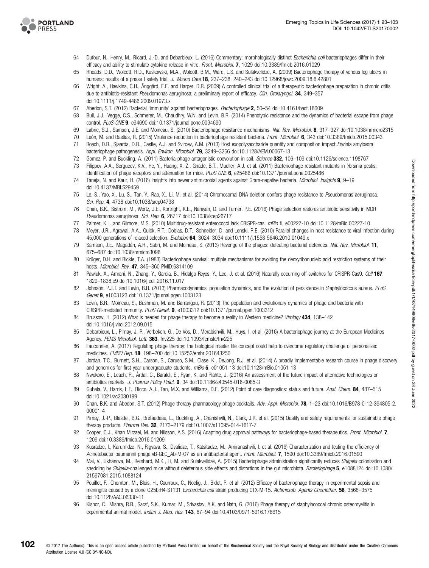<span id="page-9-0"></span>

- 64 Dufour, N., Henry, M., Ricard, J.-D. and Debarbieux, L. (2016) Commentary: morphologically distinct Escherichia coli bacteriophages differ in their efficacy and ability to stimulate cytokine release in vitro. Front. Microbiol. 7, 1029 doi[:10.3389/fmicb.2016.01029](http://dx.doi.org/doi:10.3389/fmicb.2016.01029)
- 65 Rhoads, D.D., Wolcott, R.D., Kuskowski, M.A., Wolcott, B.M., Ward, L.S. and Sulakvelidze, A. (2009) Bacteriophage therapy of venous leg ulcers in humans: results of a phase I safety trial. J. Wound Care 18, 237-238, 240-243 doi:[10.12968/jowc.2009.18.6.42801](http://dx.doi.org/doi:10.12968/jowc.2009.18.6.42801)
- 66 Wright, A., Hawkins, C.H., Änggård, E.E. and Harper, D.R. (2009) A controlled clinical trial of a therapeutic bacteriophage preparation in chronic otitis due to antibiotic-resistant Pseudomonas aeruginosa; a preliminary report of efficacy. Clin. Otolaryngol. 34, 349–357 doi[:10.1111/j.1749-4486.2009.01973.x](http://dx.doi.org/doi:10.�1111/�j.�1749-4486.�2009.�01973.x)
- 67 Abedon, S.T. (2012) Bacterial 'immunity' against bacteriophages. Bacteriophage 2, 50–54 doi[:10.4161/bact.18609](http://dx.doi.org/doi:10.4161/bact.18609)
- 68 Bull, J.J., Vegge, C.S., Schmerer, M., Chaudhry, W.N. and Levin, B.R. (2014) Phenotypic resistance and the dynamics of bacterial escape from phage control. PLoS ONE 9, e94690 doi[:10.1371/journal.pone.0094690](http://dx.doi.org/doi:10.1371/journal.pone.0094690)
- 69 Labrie, S.J., Samson, J.E. and Moineau, S. (2010) Bacteriophage resistance mechanisms. Nat. Rev. Microbiol. 8, 317–327 doi[:10.1038/nrmicro2315](http://dx.doi.org/doi:10.1038/nrmicro2315)<br>70 León M. and Bastías B. (2015) Virulence reduction in bacteriophage resist
- León, M. and Bastías, R. (2015) Virulence reduction in bacteriophage resistant bacteria. Front. Microbiol. 6, 343 doi:[10.3389/fmicb.2015.00343](http://dx.doi.org/doi:10.3389/fmicb.2015.00343)
- 71 Roach, D.R., Sjaarda, D.R., Castle, A.J. and Svircev, A.M. (2013) Host exopolysaccharide quantity and composition impact Erwinia amylovora bacteriophage pathogenesis. Appl. Environ. Microbiol. 79, 3249-3256 doi:[10.1128/AEM.00067-13](http://dx.doi.org/doi:10.1128/AEM.00067-13)
- 72 Gomez, P. and Buckling, A. (2011) Bacteria-phage antagonistic coevolution in soil. Science 332, 106–109 doi[:10.1126/science.1198767](http://dx.doi.org/doi:10.1126/science.1198767)
- 73 Filippov, A.A., Sergueev, K.V., He, Y., Huang, X.-Z., Gnade, B.T., Mueller, A.J. et al. (2011) Bacteriophage-resistant mutants in Yersinia pestis: identification of phage receptors and attenuation for mice. PLoS ONE 6, e25486 doi[:10.1371/journal.pone.0025486](http://dx.doi.org/doi:10.1371/journal.pone.0025486)
- 74 Taneja, N. and Kaur, H. (2016) Insights into newer antimicrobial agents against Gram-negative bacteria. Microbiol. Insights 9, 9–19 doi[:10.4137/MBI.S29459](http://dx.doi.org/doi:10.�4137/�MBI.�S29459)
- 75 Le, S., Yao, X., Lu, S., Tan, Y., Rao, X., Li, M. et al. (2014) Chromosomal DNA deletion confers phage resistance to Pseudomonas aeruginosa. Sci. Rep. 4, 4738 doi:[10.1038/srep04738](http://dx.doi.org/doi:10.1038/srep04738)
- 76 Chan, B.K., Sistrom, M., Wertz, J.E., Kortright, K.E., Narayan, D. and Turner, P.E. (2016) Phage selection restores antibiotic sensitivity in MDR Pseudomonas aeruginosa. Sci. Rep. 6, 26717 doi:[10.1038/srep26717](http://dx.doi.org/doi:10.1038/srep26717)
- 77 Palmer, K.L. and Gilmore, M.S. (2010) Multidrug-resistant enterococci lack CRISPR-cas. mBio 1, e00227-10 doi[:10.1128/mBio.00227-10](http://dx.doi.org/doi:10.1128/mBio.00227-10)
- 78 Meyer, J.R., Agrawal, A.A., Quick, R.T., Dobias, D.T., Schneider, D. and Lenski, R.E. (2010) Parallel changes in host resistance to viral infection during 45,000 generations of relaxed selection. Evolution 64, 3024-3034 doi[:10.1111/j.1558-5646.2010.01049.x](http://dx.doi.org/doi:10.1111/j.1558-5646.2010.01049.x)
- 79 Samson, J.E., Magadán, A.H., Sabri, M. and Moineau, S. (2013) Revenge of the phages: defeating bacterial defences. Nat. Rev. Microbiol. 11, 675–687 doi[:10.1038/nrmicro3096](http://dx.doi.org/doi:10.1038/nrmicro3096)
- 80 Krüger, D.H. and Bickle, T.A. (1983) Bacteriophage survival: multiple mechanisms for avoiding the deoxyribonucleic acid restriction systems of their hosts. Microbiol. Rev. 47, 345–360 PMID:[6314109](http://www.ncbi.nlm.nih.gov/pubmed/6314109)
- 81 Pawluk, A., Amrani, N., Zhang, Y., Garcia, B., Hidalgo-Reyes, Y., Lee, J. et al. (2016) Naturally occurring off-switches for CRISPR-Cas9. Cell 167, 1829–1838.e9 doi[:10.1016/j.cell.2016.11.017](http://dx.doi.org/doi:10.1016/j.cell.2016.11.017)
- 82 Johnson, P.J.T. and Levin, B.R. (2013) Pharmacodynamics, population dynamics, and the evolution of persistence in Staphylococcus aureus. PLoS Genet 9, e1003123 doi[:10.1371/journal.pgen.1003123](http://dx.doi.org/doi:10.1371/journal.pgen.1003123)
- 83 Levin, B.R., Moineau, S., Bushman, M. and Barrangou, R. (2013) The population and evolutionary dynamics of phage and bacteria with CRISPR-mediated immunity. PLoS Genet. 9, e1003312 doi[:10.1371/journal.pgen.1003312](http://dx.doi.org/doi:10.1371/journal.pgen.1003312)
- 84 Brussow, H. (2012) What is needed for phage therapy to become a reality in Western medicine? Virology 434, 138-142 doi[:10.1016/j.virol.2012.09.015](http://dx.doi.org/doi:10.�1016/�j.�virol.�2012.�09.�015)
- 85 Debarbieux, L., Pirnay, J.-P., Verbeken, G., De Vos, D., Merabishvili, M., Huys, I. et al. (2016) A bacteriophage journey at the European Medicines Agency. FEMS Microbiol. Lett. 363, fnv225 doi[:10.1093/femsle/fnv225](http://dx.doi.org/doi:10.1093/femsle/fnv225)
- 86 Fauconnier, A. (2017) Regulating phage therapy: the biological master file concept could help to overcome regulatory challenge of personalized medicines. EMBO Rep. 18, 198–200 doi:[10.15252/embr.201643250](http://dx.doi.org/doi:10.15252/embr.201643250)
- 87 Jordan, T.C., Burnett, S.H., Carson, S., Caruso, S.M., Clase, K., DeJong, R.J. et al. (2014) A broadly implementable research course in phage discovery and genomics for first-year undergraduate students.  $mBio$  5, e01051-13 doi:[10.1128/mBio.01051-13](http://dx.doi.org/doi:10.1128/mBio.01051-13)
- 88 Nwokoro, E., Leach, R., Årdal, C., Baraldi, E., Ryan, K. and Plahte, J. (2016) An assessment of the future impact of alternative technologies on antibiotics markets. J. Pharma Policy Pract. 9, 34 doi:[10.1186/s40545-016-0085-3](http://dx.doi.org/doi:10.1186/s40545-016-0085-3)
- 89 Gubala, V., Harris, L.F., Ricco, A.J., Tan, M.X. and Williams, D.E. (2012) Point of care diagnostics: status and future. Anal. Chem. 84, 487-515 doi[:10.1021/ac2030199](http://dx.doi.org/doi:10.�1021/ac2030199)
- 90 Chan, B.K. and Abedon, S.T. (2012) Phage therapy pharmacology phage cocktails. Adv. Appl. Microbiol. 78, 1–23 doi:[10.1016/B978-0-12-394805-2.](http://dx.doi.org/doi:10.1016/B978-0-12-394805-2.00001-4) [00001-4](http://dx.doi.org/doi:10.1016/B978-0-12-394805-2.00001-4)
- 91 Pirnay, J.-P., Blasdel, B.G., Bretaudeau, L., Buckling, A., Chanishvili, N., Clark, J.R. et al. (2015) Quality and safety requirements for sustainable phage therapy products. Pharma Res. 32, 2173–2179 doi:[10.1007/s11095-014-1617-7](http://dx.doi.org/doi:10.1007/s11095-014-1617-7)
- 92 Cooper, C.J., Khan Mirzaei, M. and Nilsson, A.S. (2016) Adapting drug approval pathways for bacteriophage-based therapeutics. Front. Microbiol. 7, 1209 doi:[10.3389/fmicb.2016.01209](http://dx.doi.org/doi:10.3389/fmicb.2016.01209)
- 93 Kusradze, I., Karumidze, N., Rigvava, S., Dvalidze, T., Katsitadze, M., Amiranashvili, I. et al. (2016) Characterization and testing the efficiency of Acinetobacter baumannii phage vB-GEC\_Ab-M-G7 as an antibacterial agent. Front. Microbiol. 7, 1590 doi[:10.3389/fmicb.2016.01590](http://dx.doi.org/doi:10.3389/fmicb.2016.01590)
- 94 Mai, V., Ukhanova, M., Reinhard, M.K., Li, M. and Sulakvelidze, A. (2015) Bacteriophage administration significantly reduces Shigella colonization and shedding by Shigella-challenged mice without deleterious side effects and distortions in the gut microbiota. Bacteriophage 5, e1088124 doi:[10.1080/](http://dx.doi.org/doi:10.1080/21597081.2015.1088124) [21597081.2015.1088124](http://dx.doi.org/doi:10.1080/21597081.2015.1088124)
- 95 Pouillot, F., Chomton, M., Blois, H., Courroux, C., Noelig, J., Bidet, P. et al. (2012) Efficacy of bacteriophage therapy in experimental sepsis and meningitis caused by a clone O25b:H4-ST131 Escherichia coli strain producing CTX-M-15. Antimicrob. Agents Chemother. 56, 3568–3575 doi[:10.1128/AAC.06330-11](http://dx.doi.org/doi:10.�1128/AAC.06330-11)
- 96 Kishor, C., Mishra, R.R., Saraf, S.K., Kumar, M., Srivastav, A.K. and Nath, G. (2016) Phage therapy of staphylococcal chronic osteomyelitis in experimental animal model. *Indian J. Med. Res.* **143**, 87-94 doi:[10.4103/0971-5916.178615](http://dx.doi.org/doi:10.4103/0971-5916.178615)